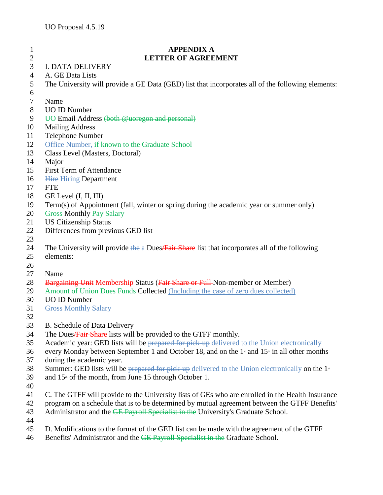## **APPENDIX A LETTER OF AGREEMENT** I. DATA DELIVERY A. GE Data Lists The University will provide a GE Data (GED) list that incorporates all of the following elements: Name UO ID Number UO Email Address (both @uoregon and personal) Mailing Address Telephone Number Office Number, if known to the Graduate School Class Level (Masters, Doctoral) Major First Term of Attendance 16 Hire Hiring Department FTE GE Level (I, II, III) Term(s) of Appointment (fall, winter or spring during the academic year or summer only) 20 Gross Monthly Pay-Salary US Citizenship Status Differences from previous GED list 24 The University will provide the a Dues/Fair Share list that incorporates all of the following elements: Name 28 Bargaining Unit Membership Status (Fair Share or Full Non-member or Member) 29 Amount of Union Dues Funds Collected (Including the case of zero dues collected) UO ID Number Gross Monthly Salary B. Schedule of Data Delivery 34 The Dues Fair Share lists will be provided to the GTFF monthly. 35 Academic year: GED lists will be prepared for pick-up delivered to the Union electronically 36 every Monday between September 1 and October 18, and on the  $1<sup>*</sup>$  and  $15<sup>*</sup>$  in all other months during the academic year. 38 Summer: GED lists will be prepared for pick-up delivered to the Union electronically on the  $1<sup>s</sup>$ 39 and  $15<sup>th</sup>$  of the month, from June 15 through October 1. C. The GTFF will provide to the University lists of GEs who are enrolled in the Health Insurance program on a schedule that is to be determined by mutual agreement between the GTFF Benefits' 43 Administrator and the GE Payroll Specialist in the University's Graduate School.

- 
- D. Modifications to the format of the GED list can be made with the agreement of the GTFF
- 46 Benefits' Administrator and the GE Payroll Specialist in the Graduate School.